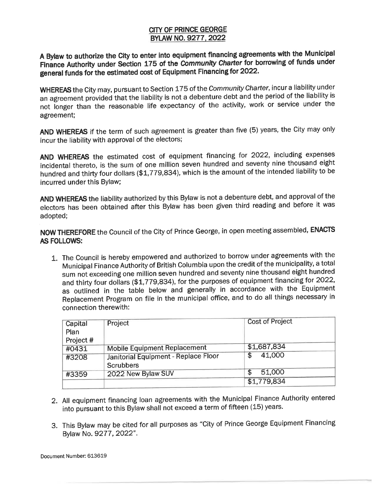## **CITY OF PRINCE GEORGE BYLAW NO. 9277. 2022**

**<sup>A</sup>Bylaw to authorize the City to enter into equipment financing agreements with the Municipal Finance Authority under Section 175 of the Community Charter for borrowing of funds under general funds for the estimated cost of Equipment Financing for 2022.** 

WHEREAS the City may, pursuant to Section 175 of the Community Charter, incur a liability under an agreement provided that the liability is not a debenture debt and the period of the liability is not longer than the reasonable life expectancy of the activity, work or service under the agreement;

AND WHEREAS if the term of such agreement is greater than five (5) years, the City may only incur the liability with approval of the electors;

AND WHEREAS the estimated cost of equipment financing for 2022, including expenses incidental thereto, is the sum of one million seven hundred and seventy nine thousand eight hundred and thirty four dollars (\$1,779,834), which is the amount of the intended liability to be incurred under this Bylaw;

AND WHEREAS the liability authorized by this Bylaw is not a debenture debt, and approval of the electors has been obtained after this Bylaw has been given third reading and before it was adopted;

**NOW THEREFORE** the Council of the City of Prince George, in open meeting assembled, **ENACTS AS FOLLOWS:** 

1. The Council is hereby empowered and authorized to borrow under agreements with the Municipal Finance Authority of British Columbia upon the credit of the municipality, a total sum not exceeding one million seven hundred and seventy nine thousand eight hundred and thirty four dollars (\$1,779,834), for the purposes of equipment financing for 2022, as outlined in the table below and generally in accordance with the Equipment Replacement Program on file in the municipal office, and to do all things necessary in connection therewith:

| Capital   | Project                                | <b>Cost of Project</b> |  |
|-----------|----------------------------------------|------------------------|--|
| Plan      |                                        |                        |  |
| Project # |                                        |                        |  |
| #0431     | <b>Mobile Equipment Replacement</b>    | \$1,687,834            |  |
| #3208     | Janitorial Equipment - Replace Floor   | 41,000<br>\$.          |  |
|           | <b>Scrubbers</b><br>2022 New Bylaw SUV | 51,000                 |  |
| #3359     |                                        | \$1,779,834            |  |

- 2. All equipment financing loan agreements with the Municipal Finance Authority entered into pursuant to this Bylaw shall not exceed a term of fifteen (15) years.
- 3. This Bylaw may be cited for all purposes as "City of Prince George Equipment Financing Bylaw No. 9277, 2022".